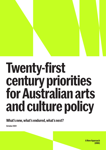## **Twenty-first century priorities for Australian arts and culture policy**

**What's new, what's endured, what's next?**

**October 2021**

**ANew Approach (ANA)**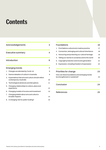## **Contents**

|    | Acknowledgements                                                            | З  |
|----|-----------------------------------------------------------------------------|----|
|    | Executive summary                                                           | 4  |
|    | <b>Introduction</b>                                                         | 6  |
|    | <b>Emerging trends</b>                                                      | 7  |
| 1. | Changes accelerated by Covid-19                                             | 8  |
| 2. | Democratisation of culture in Australia                                     | 9  |
| З. | Expectations that arts and culture should reflect<br>contemporary Australia | 10 |
|    | 4. Technological advances and disruptions                                   | 11 |
| 5. | Changing relationships to culture, place and<br>experience                  | 12 |
|    | 6. Changing models of income and investment                                 | 13 |
| 7. | Changing beliefs about arts and culture's<br>broader impacts                | 14 |
|    | 8. A changing role for public funding?                                      | 15 |

|    | <b>Foundations</b>                                                             | 16 |
|----|--------------------------------------------------------------------------------|----|
| 1. | First Nations cultural and creative practice                                   | 17 |
| 2. | Connection, belonging and cultural inheritance                                 | 18 |
| 3. | Honouring and protecting our cultural heritage                                 | 19 |
| 4. | Telling our stories to ourselves and to the world                              | 20 |
| 5. | Copyright protection and income generation                                     | 21 |
| 6. | Expression, including freedom of expression                                    | 22 |
|    |                                                                                |    |
|    |                                                                                |    |
|    | <b>Priorities for change</b>                                                   | 23 |
|    | How can these foundations and emerging trends<br>be strengthened or sustained? | 23 |
|    | Conclusion                                                                     | 24 |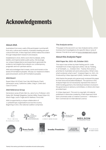## <span id="page-2-0"></span>**Acknowledgements**

#### **About ANA**

Australians from every walk of life participate in and benefit from arts, culture and creativity. Australia's leading arts and culture think tank, A New Approach (ANA) makes this evident through independent research and analysis.

Established in 2018, ANA's work informs debate, shifts beliefs, and inspires better public policy. We leverage our unique independence and expertise to generate the evidence-led insights that underpin our contemporary, pragmatic and non-partisan advice.

ANA acknowledges that it meets, works and travels on the lands of First Nations peoples. We pay our respects to Elders past and present, and to all First Nations peoples.

#### **ANA Board**

Rupert Myer AO (Chair), Sue Cato AM (Deputy Chair), Genevieve Lacey, Catherine Liddle, Craig A. Limkin and Cass O'Connor.

#### **ANA Reference Group**

Genevieve Lacey (Chair), Ben Au, Jane Curry, Professor John Daley AM, Shelagh Magadza, Damien Miller, Rupert Myer AO, Alison Page, Laura Tingle and Dr Mathew Trinca AM.

ANA is supported by a unique collaboration of 11 philanthropic organisations across the country. Beginning in 2021, this national coalition comprises:

#### **The Analysis series**

This paper is the second in our new Analysis series, which involves short investigations of a specific idea or area of interest. Find all of our work at [www.newapproach.org.au](http://www.newapproach.org.au)

#### **About this Analysis Paper**

#### **ANA Paper No. 2021–03, October 2021**

This report was written by Kate Fielding and Dr Jodie Trembath from A New Approach (ANA). Cite as: Fielding, K. & Trembath, J.L., October 2021. 'Twenty-first century priorities for Australian arts and culture policy: What's new, what's endured, what's next?'. Analysis Paper no. 2021–03. Produced by A New Approach (ANA). Canberra, Australia.

ANA thanks the people who generously reviewed this paper for their time and excellent feedback. The opinions in this Analysis Paper do not necessarily represent the views of ANA's funding partners, the individual members involved in the governance or advisory committees, or others who have provided input.

© A New Approach. This work is copyright. All material published or otherwise created by A New Approach think tank is licensed under a Creative Commons — Attribution — Non-Commercial 4.0 International Licence.







SIDNEY MYER FUND









**Aranday Foundation** 



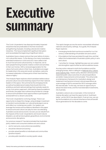## <span id="page-3-0"></span>**Executive summary**

The Covid–19 pandemic has disproportionately impacted industries that are predicated on the free movement and gathering of people, including cultural and creative industries. This has prompted both significant disruption and necessitated the beginning of significant reform.

Australians have a clearer picture than ever before of what a rich cultural life means. To the dismay of so many Australians, extended lockdowns in 2020 and 2021 have called a halt to much live arts and cultural activity. In response, we've seen people flocking towards creative content and activities in their own homes. With a renewed appreciation for the value of arts and culture in their lives, Australians are eager for leadership in this area and would, we believe, welcome increased celebration of these parts of their lives that they value so highly.<sup>1</sup>

This Analysis Paper explores what Australians believe about arts and culture now and what they expect from their national leaders in this space. We summarise the emerging trends as well as foundational principles that should inform the ambitious and bold national settings that Australia needs for a truly 21st century approach. Informed by these foundations and trends, this paper also outlines the priorities for change to ensure all Australians have opportunities to participate in and benefit from a vibrant cultural life.

The Covid–19 pandemic is driving change. There is an opportunity to shape this change, using strategic investment to transform and embolden our cultural landscape to serve and reflect our contemporary public. Our leaders can leverage the trends and foundations identified in this paper to ensure arts and culture can play its role in accelerating Australia's social and economic recovery as we rebuild from the impacts of the Covid–19 pandemic and recent natural disasters, as well as future global, geopolitical, environmental and economic disruptions.

Our previous research<sup>2</sup> has demonstrated that Australian policy makers and consumers believe arts and culture:

- are for everyone, everywhere (accessibility)
- should be relevant (inclusivity)
- provide valued benefits to individuals and communities (positive impact)
- provide public benefits to society (public value).

The rapid changes across the sector necessitate refreshed national cultural policy settings. As a guide, this Analysis Paper explores:

- 8 emerging trends that must be accounted for in a 21st century understanding of Australian arts and culture.
- 6 foundations that have persisted through time, and that reflect the fundamentals of Australia's public policy in arts and culture.
- 7 priorities for change, highlighting ways we can sustain and strengthen opportunities as well as address issues.

As a key action relevant to both the foundations and the emerging trends, ANA is calling for a [National Arts, Culture](https://newapproach.org.au/wp-content/uploads/2021/07/Imagining-2030-ANA-2021-01-3.pdf)  [and Creativity Plan.](https://newapproach.org.au/wp-content/uploads/2021/07/Imagining-2030-ANA-2021-01-3.pdf) Clearer policy direction will ensure the expected public value outcomes of cultural expenditure are better measured and communicated. This will provide a contemporary framework for Australia to design and implement mechanisms to boost cultural expenditure as a percentage of GDP to exceed the OECD average within the next decade. $3$  In this way, we have an opportunity to attract the best minds, and the most desirable investments, into Australia.

Australia's culture is at a crossroads. In this moment of intense disruption we have the opportunity to 'build back better', as the OECD has described it. If we act now, we can lay the foundations of a cultural inheritance that will benefit future generations for the decades to come.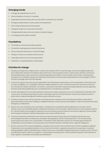#### <span id="page-4-0"></span>**Emerging trends**

- Changes accelerated by Covid-19
- § Democratisation of culture in Australia
- Expectations that arts and culture should reflect contemporary Australia
- § Changing relationships to culture, place and experience
- § Technological advances and disruptions
- § Changing models of income and investment
- § Changing beliefs about arts and culture's broader impacts
- § A changing role for public funding?

#### **Foundations**

- **•** First Nations cultural and creative practice
- § Connection, belonging and cultural inheritance
- Honouring and protecting our cultural heritage
- Telling our stories to ourselves and the world
- § Copyright protection and income generation
- Expression, including freedom of expression

#### **Priorities for change**

- 1. Develop and implement a National Arts, Culture and Creativity Plan<sup>[4](#page-24-0)</sup> to build stronger and more strategic leadership and collaboration between the federal, state and territory and local governments. Clearer policy direction will ensure the expected public value outcomes of cultural expenditure are better communicated, and provide a contemporary framework for Australia to design and implement mechanisms to boost cultural expenditure as a percentage of GDP to the OECD average within the next decade.
- 2. Continue to support arts and cultural organisations and individuals to financially survive the pandemic, and to pilot and/ or scale-up digitally-rich, 'antifragile' business models suitable for a with-Covid environment for the future success of the cultural and creative industries. Live events, in particular, have been disproportionately affected, and any approach should include taking deliberate and coordinated action to rebuild those activities.<sup>[5](#page-24-0)</sup>
- 3. Position Aboriginal and Torres Strait Islander cultures and creative expression as a core, shared part of Australia in the 21st century, including recognising the value of Aboriginal and Torres Strait Islander cultural and creative practice in public policy measures designed to address equity and justice issues.
- 4. Prioritise using arts and cultural activities in existing and new initiatives across all relevant portfolios, especially in placemaking and community-building, to mitigate loneliness, social exclusion and isolation. Foster intra-government and interagency collaboration.
- 5. Build on the work of Infrastructure Australia to 1) implement a coordinated national approach to arts and cultural infrastructure; and 2) facilitate greater collaboration between Commonwealth, state and territory and local governments for cultural infrastructure programs, taking into account existing cultural infrastructure and the capacity of communities and local governments to maintain and program new cultural infrastructure.
- 6. Continue to prioritise investment in new arts and cultural practices and products (including those that use new technologies) that reflect contemporary Australian demographics, stories and perspectives. This should include ensuring arts and culture are a central pillar of Australia's public diplomacy activity, by including opportunities for collaboration and exchange in cultural practice and research between Australia and our regional neighbours.
- 7. Ensure we have a fit-for-purpose legislative, regulatory, tax incentive and investment environment, updated to address IP generation and copyright protections in the current environment. Legislative protections for expression must take emerging digital creation and distribution models into account, and balance legal protections for creative works, in terms of protecting creators' rights to recognition, compensation and expression, with the potential impacts of the exercise of those rights on vulnerable communities and individuals.[6](#page-24-0)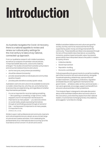# <span id="page-5-0"></span>**Introduction**

As Australia navigates the Covid–19 recovery, there is a national appetite to review and renew our cultural policy settings for the 21st century to take a truly national, connected-up approach.

From our qualitative research with middle Australians, as well as our analysis of Australian cultural policies, 4 important beliefs about arts, culture and creativity emerged. The studies showed that Australian policymakers and consumers believe that arts and culture:

- are for everyone, everywhere (accessibility)
- should be relevant (inclusivity)
- provide valued benefits to individuals and communities (positive impact)
- provide public benefits to society (public value).

Australians want arts and culture to be available to everyone no matter where they live, who they are, and what barriers to access they are experiencing, and regardless of whether they themselves participate.

It's not so important for me to be making something — like a painting or something. In high school, I really enjoyed it, but it's not important. But because it's important to so many people — you see everywhere on social media, people expressing themselves through art and finding purpose through art and all of that — and because it's important to so many people, it's important to me.

(FEMALE, WA, 18–29)

Similar to sport, both professional and community-level arts and cultural experiences are valued, as are a broad range of cultural and creative activities. From celebrating the achievements of our international stars to turning up to the local dance school concert: it's all arts and culture.

Middle Australians believe arts and culture are good for society, but they want to be reassured that the things supported by public money are things that benefit the community. These benefits are likely to be assessed through the lens of those beliefs described above: accessibility, inclusivity, positive impact and public value. Successive governments have interpreted value to the public in relation to 4 policy drivers:

- Collective identity
- Social improvement
- Reputation-building
- Economic contribution<sup>7</sup>

Cultural expenditure by governments is a small but enabling part of the income for arts and cultural activity, alongside household spending, philanthropy, sponsorship and private investment. Legislations, protections, regulation and leadership are also significant mechanisms that governments — at federal, state, territory and local levels can use to generate, encourage, support and benefit from arts and cultural activities in their jurisdictions.

This Analysis Paper is designed to stimulate discussion about what Australians believe about arts and culture in the 21st century, and what they expect from their national leaders. It summarises 8 emerging trends, 6 foundations, and suggests 7 priorities for change.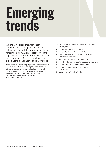## <span id="page-6-0"></span>**Emerging trends**

We are at a critical juncture in history; a moment when perceptions of arts and culture, and their role in society, are seeing a fundamental shift. Australians recognise the significance arts and culture have to their lives more than ever before, and they have new expectations of the nation's cultural offerings.

These trends are manifesting in government policies across the world, and culture is becoming an increasing area of interest for a range of international bodies. For example, the [G20](https://www.g20.org/wp-content/uploads/2021/08/G20-Culture-Terms-of-Reference.pdf) has incorporated culture into its central agenda for the first time in 2021. Similarly, [UNCTAD](https://unctad.org/topic/trade-analysis/creative-economy-programme/2021-year-of-the-creative-economy) declared 2021 the International Year of the Creative Economy for Sustainable Development.

With these shifts in mind, this section looks at 8 emerging trends. They are:

- 1. Changes accelerated by Covid–19
- 2. Democratisation of culture in Australia
- 3. Expectations that arts and culture should reflect contemporary Australia
- 4. Technological advances and disruptions
- 5. Changing relationships to culture, place and experience
- 6. Changing models of income and investment
- 7. Changing beliefs about arts and culture's broader impacts
- 8. A changing role for public funding?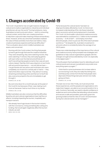### <span id="page-7-0"></span>**1. Changes accelerated by Covid–19**

The Covid–19 pandemic has wrought massive changes on cultural and creative organisations, industries and individual practitioners all over the world.<sup>[8](#page-24-0)</sup> During lockdowns, many Australians turned to arts and culture — both to consuming cultural content, and to their own creative practices to help them cope and make meaning of these extraordinary times. However, at the very time that Australians realised the value of these activities more than ever before, many creative businesses experienced financial difficulties.[9](#page-24-0) This is a situation about which middle Australians are aware, and concerned.

Running with the Covid context, the thing that people turned to get through that was the creative industries. They were streaming, they were watching movies, they were watching TV shows, they were playing games with each other over the Internet and all that sort of stuff. Everything that people turned to then was arts and culture-based. I feel like 2020 was a big kick on two fronts with arts and its importance — not only did we have — I've got friends who are actors and musicians who were completely out of work for a whole year or had to — they had to find other ways to do that. They did turn to doing streaming and teaching online and that sort of stuff. But also, everyone jumped to the arts immediately to get through it.

(FEMALE, SA, 18–29)

My work shut down for a month last year at the peak of the Covid hit, but because of that, I was making much more art because I had so much time on my hands. (FEMALE, WA, 18–29)

Middle Australians are also conscious that the difficulties faced by arts and cultural organisations have had flow on effects, including impacting the tourism, hospitality and transport sectors.

We already have huge issues in the tourism industry with the Coronavirus. Doing something like cutting arts funding, that would again negatively affect the tourism industry as well. (MALE, QLD, 35–60)

Partly because the cultural sector has been so disproportionately affected by Covid–19, there is an increased understanding of the role these industries play in economic activity and employment in Australia. Pre-Covid–19, the broader cultural and creative economy was estimated to contribute \$111.7 billion to the Australian economy — 6.4% of GDP — and employ more than 800,000 people, which is just over 8% of the total Australian workforce[.10](#page-24-0) Yet despite this, Australia's investment in arts and culture is consistently below the average of our OECD peers.

These new understandings of the importance of the cultural and creative economy have prompted new strategies and guidelines to help cultural organisations grapple with the changes wrought and accelerated by Covid–19, especially in the digital realm.<sup>11</sup>

The enthusiasm that Australians have for attending arts and cultural events and venues is predicted to skyrocket once everything opens up again[.12](#page-24-0)

I think that for some businesses who've been able to survive during Covid, they are really flourishing now... and that purely comes from the fact that people were deprived of these things last year and are now really going out there.

(FEMALE, VIC, 18–29)

The task now is two-fold. Firstly, we must ensure that these experiences, and the people and organisations who make them happen, are able to survive and transform for a with-Covid era. Secondly, we need to rebuild confidence in audiences and communities that attending cultural events and venues is safe and possible, particularly given the growing evidence that the risks of Covid–19 transmission during live cultural events can be managed.<sup>[13](#page-25-0)</sup>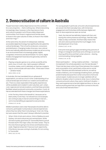#### <span id="page-8-0"></span>**2. Democratisation of culture in Australia**

People have been widely dispersed across this continent for a very long time — that's nothing new. What is becoming increasingly clear, however, is the importance of arts and culture to people in all of those widely dispersed communities, from those in regional and remote areas, to those in the outer suburbs of cities, to those in the middle and inner rings.<sup>14</sup>

At the same time, the advent of widespread, relatively accessible digital technology has significantly disrupted the cultural landscape. This is true for producers, consumers and distributors. Changing modes of access, new cultural forms and radically altered business models are all occurring in an environment that is increasingly global, digital, congested, immersive and decentralized. For some, digital modes of engagement have become genuinely central to their existence.

Playing computer games is my whole social life at this point, now, in Covid. Like, I talk to people in different countries, states, and it's definitely art that has created a way to communicate with each other…if that wasn't there — [shakes head].

(MALE, NSW, 18–29)

In Australia, this has translated into an upheaval of expectations, as well as a much richer understanding of our cultural landscape and where our creators and audiences are. There is a clear expectation that quality experiences will be available and created in outer suburban, peri-urban, rural, regional and remote locations, and that these activities facilitate valued social and community connection. Covid–19 has accelerated both these changes and these expectations:

In the Territory there is the benefit of...because we've been pretty Covid-free, I've noticed how a lot of people are coming to play in Darwin and do things in Darwin.... we're now benefiting as opposed to everyone else. (FEMALE, NT, 18–29)

Middle Australians were clear that people should be able to consume, participate in and produce cultural experiences where they live rather than it only being an 'inner city' thing. but were aware that this wasn't always reflected in practise:

When I think of arts and culture, I think of Melbourne and Sydney. Arts and culture are just centred there. While we have it pretty good here [in Townsville] there's just all the best stuff in the major cities, the metro areas. They're the ones that are going to live shows and theatres every week. Regional areas don't have as much opportunity. If the Mona Lisa was coming to Australia, it's not coming to Townsville!

(MALE, QLD, 35–60)

For young people in particular, arts and cultural experiences are woven into their everyday lives, with immersive engagement and frictionless shifts between digital and face-to-face experiences seen as normal.

Yeah, the internet has definitely helped with that, and having this online presence and things, I feel like really helps us stay connected. And that really means that arts and culture just became this much bigger, more developed part of our lives. (FEMALE, QLD, 18–29)

Everyone loves going to gigs and taking artsy pictures of things on Instagram and those sorts of things, so we're all sharing all the time and that's what culture is – sharing, communicating, linking together.

#### (FEMALE, SA, 18–29)

Direct participation — doing creative activities — has been increasing for the whole population over the last decade.<sup>15</sup> There has also been a blurring of lines between the creation and consumption of art, particularly online and on social media[.16](#page-25-0) Binaries and silos between artforms, as well as modes of delivery, are increasingly breaking down, perhaps predominantly because this is what consumers of arts and culture expect. Audiences are no longer satisfied with an either/or situation when it comes to what, how or where they consume arts and culture; they want a 'both/and' situation they want experiences to be both digital and face-to-face, as well as anything else that can help them connect to the arts and culture that interests them 17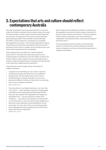#### <span id="page-9-0"></span>**3. Expectations that arts and culture should reflect contemporary Australia**

Although Australians have long expected that our arts and culture will reflect Australian stories, opinions about the need for that to present a wider range of stories and perspectives are evolving. Throughout the 21st century there has been a growing expectation that Australian cultural offerings will reflect, and be relevant to, contemporary Australian demographics and values. This includes expectations about what stories are told; about international reference points;<sup>18</sup> and about where work is created, who its audiences are, and what cultural experiences are compelling.

Policy approaches that reflect the collective identity policy driver in Australia have had a particular focus on multiculturalism and diversity since the 1980s; however, the need to reflect a wider range of voices and perspectives in cultural content has significantly increased in the last decade in line with other related social movements.<sup>19</sup>

These themes come through clearly in the views of middle Australians:

I suppose we are building our own culture. We are a multicultural society and draw from a lot of different backgrounds. We are saying 'here you go, here is something that is uniquely Australian, you can see elements of different cultures in there but it's something we can say is uniquely Australian'. (MALE, NSW, 35–60)

The show that's in my head is that show 'You Can't Ask That', which — each episode is a group of marginalised Australians answering questions that people feel like they can't ask: people with disabilities and Indigenous Australians and — we put ourselves in these echo chambers — we hang out with people who are just like us, who think like us, who have all the same beliefs as us and we're never exposed to anything different. But [in shows like 'You Can't Ask That'] you see these people and challenges that other people face and I think that's really important to understand. (FEMALE, SA, 18–29)

Recent approaches celebrate Australia's contemporary demographics as well as trying to create a framework of equity, social cohesion and inclusion. They also address issues of ethics and justice, such as processes for repatriation of ancestral remains, secret sacred objects<sup>20</sup> and other items.<sup>[21](#page-25-0)</sup>

This emerging trend also includes a continued need to tell our contemporary stories outside of Australian shores, situating our arts and cultural offerings as part of a global conversation.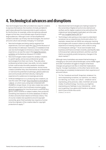## <span id="page-10-0"></span>**4. Technological advances and disruptions**

New technologies have often provided new ways for creators to express themselves: the invention of small, portable tin paint tubes allowed the Impressionists to paint outdoors for the first time, for example, while microphones allowed singers to find new, more intimate ways of performing to large audiences. Although Covid–19 has amplified the creation and take-up of many new technologies, the world of arts and culture was already changing. For example:

- New technologies are being used to augment live experiences, such as in apps like [The O](https://www.artprocessors.net/projects/mona) at the Museum of Old and New Art (Mona) in Tasmania, or installations that use new technologies to immerse a viewer in the artistic experience, as was the case in the [Digital Revolution](https://www.smithsonianmag.com/arts-culture/7-ways-technology-is-changing-how-art-is-made-180952472/)  [exhibition](https://www.smithsonianmag.com/arts-culture/7-ways-technology-is-changing-how-art-is-made-180952472/) at the Barbican Museum in London.
- New technologies make it easier for amateur creators to upskill rapidly, and access professional-grade technologies from their own home. They also allow professional artists to learn new skills, not only related to their craft but also the skills needed to monetise their creations and run a small business. And at-home creators (whether they view themselves as professionals or not) have the potential to build large, global audiences and communicate with them directly, making the experience for audiences increasingly personal.
- Artificial intelligence is co-producing new creations, as was the case with singer [Taryn Southern's 2018 album](https://www.theverge.com/2017/8/27/16197196/taryn-southern-album-artificial-intelligence-interview)  ['I AM AI'](https://www.theverge.com/2017/8/27/16197196/taryn-southern-album-artificial-intelligence-interview), on which every song was composed with AI platform Amper Music. AI can also create new works almost from scratch; the AI software receives [some](https://www.abc.net.au/news/science/2021-07-15/ai-art-tool-makes-paintings-of-australia/100288386)  [general suggestions](https://www.abc.net.au/news/science/2021-07-15/ai-art-tool-makes-paintings-of-australia/100288386) for how the artwork could look (e.g. genre, colour scheme or subject matter), then produces something new based on its entire database of millions of other artworks that it deems to fit those criteria. This of course creates new questions around copyright ownership, given that Australian law requires a human to be the originator of the creative idea for copyright protections to apply.<sup>[22](#page-25-0)</sup>
- New blockchain technologies are making it easier for the ownership of digital artworks to be claimed and verified, and for digital creations to be sold without the original ever being (legally) duplicated, as is the case with [non-fungible tokens \(NFTs\).](https://www.forbes.com/advisor/investing/nft-non-fungible-token/)<sup>[23](#page-25-0)</sup>
- Technology is also giving us new ways to understand ourselves via our experiences of arts and culture. For example, researchers at UNSW are using eye-tracking technologies with museum visitors to study the embodied experience of viewing visual art, with a view to using it in therapeutic settings.<sup>24</sup> At an even broader level, business and finance scholars recently used Spotify data to first ascertain national sentiment, and then use that intel to successfully predict temporary changes in the stock market.<sup>[25](#page-25-0)</sup>

Although many Australians are aware that technology is changing our arts and cultural landscape, some middle-aged and older Australians struggle to imagine what these changes are going to look like or what their implications may be. Younger Australians, on the other hand, tend to see technology as completely fundamental to their experience of arts and culture:

Tik Tok, Facebook and stuff, Snapchat, whatever it is, we're expressing ourselves, our opinions, our videos, our dancing, our music, our culture – whatever we're expressing, yet by pictures, video. And that's all social media. It's all technology. You know, you might be expressing your feelings or your interests by – when you're gaming, if you game with friends or whatever, and it's just a whole new world. (FEMALE, 18–29, NT)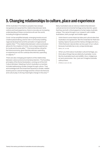## <span id="page-11-0"></span>**5. Changing relationships to culture, place and experience**

While Australia's First Nations peoples have always recognised and asserted the relationship between land, culture and lived experience, there is now also an increasing understanding of these connections all over the world, including throughout Australia.

Covid–19 has amplified already-emerging trends around creative placemaking, and its role in community building, regional development and the activation of regional and capital cities[.26](#page-25-0) The relationship between culture and place allows for the creation of richer, more unique experiences for locals and tourists alike.[27](#page-26-0) This trend will be critical for the future economy, given that discretionary spending on experiences now far outstrips discretionary spending on objects[.28](#page-26-0)

There are also changing perceptions of the relationship between culture and environmental protection. The founding principles of the Rome Declaration, coming out of the G20 Culture Ministers' Meeting of which Australia is a member, included addressing climate change through culture. They acknowledge both the threat that hazardous climate-related events pose to cultural heritage and the critical role that arts and culture play in driving meaningful change in this area.<sup>29</sup>

Many Australians see an obvious relationship between cultural and environmental heritage and protection, given that they are both critical aspects of what makes Australia unique. This came through in our research with middle Australians, both younger and middle-aged:

I think there's some historical sites and cultural sites that Australia is recognised for, like the Great Barrier Reef and Sydney Opera House and the Harbour Bridge and Uluru… I think that even natural sites can be a part of our culture because Australia has a very unique landscape. (MALE, NT, 18–29)

When you think about Australian cultural heritage, you think about things that are distinctly Australian. Icons like the Australian bush and wildlife, Uluru, Indigenous art and ceremonies. Yes, I just can't imagine Australia without them.

(FEMALE, QLD, 35–60)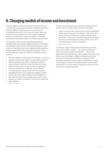## <span id="page-12-0"></span>**6. Changing models of income and investment**

There is debate worldwide about the most effective ways to invest in arts and cultural activities for different outcomes and over different time frames, and in the context of considerable disruption in the way we access, share and produce cultural experiences. This is a growing area of interest for private and corporate investors, companies, individuals and philanthropists, as well as for governments.

For example, Covid–19 has accelerated Australians' familiarity with and access to digital modes of consumption, presenting an opportunity to diversify and expand income streams for goods and services underpinned by intellectual property generation and/or copyright protection. This is something that younger Australians in particular are very aware of:

With new platforms like Spotify, for example...it's allowing people to access new media in a way that they weren't able to previously, but it also creates new business opportunities for artists in a way that they didn't have access to previously. It's also turned the way people make art upside down, inside out...So the amount of money that you can generate, how that money is generated and how you're paid has changed. And the whole nature of creative industries has changed; it's been democratised: more people can access it; more people can create…the nature of the economy around it has changed. (MALE, ACT, 18–29)

However, they are also aware that these changes present serious risks, as existing value chains are disrupted.

I think for many artists, unless they can do something like Twitch stream their art or something – unless they can find some way to monetise, in a way, to help generate extra funds…I think you've got this huge lag-time between the amount of time it takes to create a piece of art…and the eventual pay-off, if it ever happens.

(MALE, NSW, 18–29)

These risks require mature policy responses, especially given that it is often creators — the 'primary producers' of the cultural and creative industries $30 30 -$  who carry a significant share of those risks. New models will need to take into account, and ideally mitigate, existing issues around precarious employment and skills shortages in these industries, as well as concerns about monetisation models. The transition to these new models needs to be de-risked, particularly in an environment of ongoing uncertainty in the cultural and creative industries.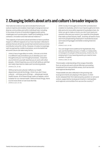## <span id="page-13-0"></span>**7. Changing beliefs about arts and culture's broaderimpacts**

International evidence has demonstrated that arts and culture inspires and enables meaningful change across our diverse communities and within individual lives, including in the areas of some of Australia's biggest public policy challenges such as education, health and wellbeing, social cohesion, innovation and international relations.[31](#page-26-0)

This capacity of arts and cultural activities to have a positive impact on different aspects of our lives has been reflected in policies that are driven by social improvement and economic contribution since the 1970s. However, it is also increasingly well recognised by middle Australians, as is the belief that arts and culture can take many forms.

I think it has a huge effect on skills...it forces us to think in a different way and allows you to develop your own thoughts and your own thought processes...it teaches you to think for yourself, teaches you to work with other people...I think it teaches you a lot of soft skills as well that are really important to make well-functioning adults. (FEMALE, SA, 18–29)

Without [arts and culture], it affects our health department and all the things. I think if you don't have cultural — all those sorts of things — people get mental health issues. All of these things make us happier, which is better for our mental health. Without those things, there is a lot more strain on services like that. (FEMALE, QLD, 35–60)

[With Covid], it's brought a lot more film and television creation to Australia, which in turn has brought a lot more jobs and a lot more skills required of Australians here. So when you go to make a movie, you don't just need your camera crew and your actors, you need all of the people that make up that industry itself...And they all lead to more and more people being employed in Australia because we're becoming bigger and better at doing that kind of stuff.

(FEMALE, QLD, 18–29)

You can target more audience for big festivals; they can use the facilities around, or hotels, or restaurants, or transport; it's all part of the economy. And to me, it's employment: if you have big events you need to have workers. It's good.

(FEMALE, NSW, 35–60)

This broader understanding of the range of benefits from an active arts and cultural offering is prompting investment from new portfolio areas, such as tourism and regional development.

These beliefs are also reflected in the growing role local governments are playing in this space. In 2020 ALGA released their first national policy position on arts and culture, supported by local governments in metropolitan and regional communities from across the country.<sup>32</sup>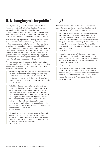## <span id="page-14-0"></span>**8. A changing role for public funding?**

Globally, there is vigorous debate about the role of public (i.e. government) funding in arts and culture. The changes wrought by Covid–19 have increased the need for governments to ensure that policy, regulatory and investment settings are driving effective cultural funding expenditure that is relevant and well-targeted for a 21st century context.

This is particularly important in Australia given that cultural expenditure across the three levels of government is not matching population growth. Per capita public expenditure on culture has dropped by 4.9% over the decade 2007–08 to 2017–18, and expenditure as a percentage of GDP remains below the OECD average.<sup>33</sup> This spending is often disjointed. lacking strategic deployment across and between different governments. With local governments playing a bigger role in making arts and cultural opportunities available, the need for a nationally-coordinated approach is urgent.

From our discussions with middle Australia, it is clear that they see benefits in engaging in arts and culture and that they see a role for governments in supporting arts and culture, especially to increase access:

Obviously every town, every country town needs a dance group or — so it depends what funding you are talking about cutting, but if you are talking about Sport, Arts and Culture, and Maths and English, the 4 pillars of good education, I think they are all very important to fund, yeah. (MALE, VIC, 35–60)

Yeah, things like museums and art galleries getting a lot of support from the government to continue to exist, I think means that it's cheaper for people to go and see them, that there can be a free section in art galleries. And I think that comes back to those areas being culture, and as a government, if they're not supporting that, then that culture goes away, and that culture is valuable to society. So yeah, I think when it comes to museums and galleries, potentially they're not as profitable but it's worth the contribution to society to, for the government to contribute money towards that.

(MALE, QLD, 18–29)

If the funding has been cut because there is a free market solution — i.e. private enterprise can fund it instead — I would be concerned about that because the issues of access become harder for other people. Because if it's a free market, it's just all about the cost. (MALE, VIC, 35–60)

They also strongly believe that this expenditure should benefit the public, and worry that arts and culture aren't being utilised to their full potential to benefit society:

I think, what it is, they misunderstand what it [arts and culture] can do. For example, the bushfires: friends of friends who were artists went in to paint with the children and to help them to write stories as part of their therapy for what they went through. Whereas there was an area of the government that said 'We have all the psychologists lined up' and that's not what the community wanted or needed.

(FEMALE, NSW, 35–60)

It would be super exciting [if the government boosted funding to arts and culture] but I would want to know where it's going and what it's doing and I would want to know what exactly the outcome of it is as well — what they want to achieve from it. (MALE, ACT, 18–29)

Maybe they just need to adjust where they spend the money, do you know what I mean? I think — I know it sounds terrible, but — they pour a lot of money into things like ballet. I know it's important but it's only to a small group of the community. They need to diversify. (FEMALE, QLD, 35–60)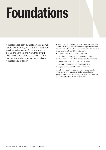# <span id="page-15-0"></span>**Foundations**

Australians are keen cultural participants; we spend \$25 billion a year on cultural goods and services, at least 82% of us attend cultural events and venues, and more than a third of us participate in creative activities.<sup>[34](#page-26-0)</sup> But within these statistics, what specifically do Australians care about?

This section outlines 6 ideas related to arts and culture that Australians value, that have endured through time, and that reflect the foundational themes of Australia's public policy in arts and culture. Those 6 foundations are:

- 1. First Nations cultural and creative practice
- 2. Connection, belonging and cultural inheritance
- 3. Honouring and protecting Australia's cultural heritage
- 4. Telling our stories to ourselves and the world
- 5. Copyright protection and income generation
- 6. Expression, including freedom of expression

In exploring these foundations, we draw on our qualitative research work with middle Australians as well as our international review of policy drivers in arts and culture and how these have been utilised in Australia[.35](#page-26-0)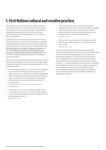## <span id="page-16-0"></span>**1. First Nations cultural and creative practice**

Aboriginal and Torres Strait Islander peoples' cultural and creative practices in this land stretch across tens of thousands of years and continue today. These practices are globally unique, have grown over time and have endured despite profound disruption over the last two and a half centuries.

Australian arts and cultural policy documents in the late 20th and early 21st century have increasingly recognised and reflected the importance of First Nations cultural and creative practices.[36](#page-26-0) Australia has now endorsed the 2007 [UN Declaration on the Rights of Indigenous Peoples](https://www.un.org/development/desa/indigenouspeoples/declaration-on-the-rights-of-indigenous-peoples.html) and the 2005 [UNESCO Convention on the Protection and](https://en.unesco.org/creativity/convention)  [Promotion of the Diversity of Cultural Expressions](https://en.unesco.org/creativity/convention), both of which include particular protections for First Nations' cultural expression.

The cultural and creative practices of Aboriginal and Torres Strait Islander peoples in Australia are also recognised by middle Australians as a unique and enduring aspect of the Australian context.

I was also going to say Uluru, because it's an Indigenous rock and now we're finally not allowed to climb on it again…It's an icon, especially for Australian Aboriginals. It's one thing that's, I guess, ours and always has been, I feel. Compared to everything else in Australia that got taken over and colonised, I feel like that sort of remained ours.

(FEMALE, NSW, 18–29. NOTE FOR CONTEXT: IDENTIFIES AS ABORIGINAL)

I had number one [in a list of cultural heritage icons] as Indigenous art centres. You learn about Australia's culture and where it started, and how creative some of the Aboriginal artwork is. (MALE, NSW, 35–60)

I think, for example, in SA, they just announced an Indigenous culture centre. Hundreds of millions of dollars, and I think that pretty much just reflects how a lot of people feel about preserving the Indigenous culture, so I think that's a pretty good effort by them. (MALE, SA, 18–29)

I feel we don't show enough of our Aboriginal culture, we don't give it enough exposure. I would like to see more of that.

(FEMALE, NSW, 35–60)

It is important to note First Nations creators are being disproportionately affected by Covid–19, with the Aboriginal and Torres Strait Islander population more reliant than the general population on income from arts and culture. This is especially true in remote areas with arts centres, whose sales have decreased by more than 50% in some locations.[37](#page-26-0) Pivoting to digital also poses specific challenges for First Nations creators, not only in remote communities with variable internet, but also in terms of the need to 'uphold Indigenous rights and sovereignty in the digital environment and protect against unethical dealing and digital disadvantage'.<sup>[38](#page-26-0)</sup>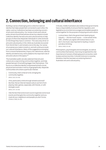## <span id="page-17-0"></span>**2. Connection, belonging and cultural inheritance**

Building a sense of belonging and a collective national identity that helps people feel connected to each other, the nation, and our institutions has been an enduring concern of arts and cultural policy. Our review of arts and cultural policy drivers found that policies driven by a desire to build collective identity harness arts and cultural activity to help groups of otherwise disparate individuals to unite and build on the things they have in common. This was a key driver of arts and cultural policy in the 1950s as Australia recovered from World War II, and remains one to this day. Our sense of ourselves as a nation is built on, and will continue to build, our cultural inheritance. Many of the suggestions emerging from a recent Parliamentary Inquiry into nationhood, national identity and democracy were related to the important role of arts and culture in this space.<sup>39</sup>

The Australian public are also adamant that arts and culture are a way to bring communities together, and help people feel part of something bigger than themselves. This focus on a collective identity is expressed at both a local, physical level and also in terms of geographically-disparate communities who share a particular interest:

Community, that's what art is for, bringing the community together. (MALE, QLD, 35–60)

I find, particularly online through streams and stuff like that, that an internet-based culture can form from playing video games, especially with friends, or with strangers even.

(MALE, ACT, 18–29)

I like the fact that some local council organizes some local events and that gets the community together and you meet all your neighbours and people you don't know. (FEMALE, NSW, 35–60)

Critically, middle Australians also believe that governments have a responsibility to ensure that the regulatory and legislative environment encourages and enables people to come together for the purpose of enjoying arts and culture:

Lockout laws, that's the government destroying an industry — the live music scene — in the whole of the CBD...whether you agree with lockout laws or you don't, live music was important to Sydney, it wasn't just about drinking.

(MALE, NSW, 35–60)

Philosophers, psychologists and sociologists, as well as communities themselves, have long recognised the vital importance to humans of belonging and connection, both to place and across time. It should come as no surprise, therefore, that this has been an enduring theme in Australian arts and cultural policy.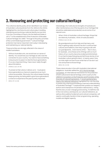## <span id="page-18-0"></span>**3. Honouring and protecting our cultural heritage**

The collective identity policy driver identified in our review of Australian cultural policies from the 1950s to the 2000s highlighted the role that arts and culture play in building, maintaining and evolving a national identity across time. From the Committee of Inquiry into the National Estate in 1973[,40](#page-26-0) to the establishment of the Protection of Movable Cultural Heritage Act 1986,<sup>41</sup> through to the policy priorities of the current federal government,<sup>[42](#page-26-0)</sup> cultural heritage protection has had an important role to play in developing and maintaining our national identity.

These priorities are strongly reflected in the views of middle Australians:

Without Australian arts, we would lose our sense of identity. You would lose your heritage as well, lose the connection to your country. You want to have something to be proud of, to pass it on [to] the future generations. It's a very important thing, I have never really thought about this before.

(FEMALE, QLD, 35–60)

To preserve that culture, it allows us to – it just gives future generations a chance to experience as much culture as possible. Obviously, the culture keeps flowing, keeps growing, but being able to give future generations a chance to experience the past is pretty important. (MALE, NT, 18–29)

Interestingly, the multicultural strengths of Australia are often mentioned as one of the key parts of our heritage that should be celebrated and protected, as are some of our natural icons:

When I think of Australian cultural heritage, things that are distinctly Australian, I think of multiculturalism. (FEMALE, QLD, 35–60)

My grandparents are from Italy and Germany, and they're getting really old and if we don't continue their cultures and traditions, then they're going to die with our grandparents...And in terms of the — like in Uluru, for example...once these sorts of things with so much history of our country become eroded and diminished, it's so hard to keep that going and tell those stories of our Australian culture going forward...In twenty years' time, our kids might not even know what that is if we don't act now and preserve those things. (MALE, SA, 18–29)

These views are also in line with Australia's international obligations. Australia ratified the [1972 World Heritage](https://whc.unesco.org/en/convention/)  [Convention](https://whc.unesco.org/en/convention/), an international mechanism for the protection of both cultural and natural heritage, and is a party to the [UNESCO Convention on the Protection and Promotion of the](https://en.unesco.org/creativity/convention)  [Diversity of Cultural Expressions](https://en.unesco.org/creativity/convention). A [recent parliamentary](https://www.aph.gov.au/Parliamentary_Business/Committees/Joint/National_Capital_and_External_Territories/NationalInstitutions)  [inquiry into national institutions](https://www.aph.gov.au/Parliamentary_Business/Committees/Joint/National_Capital_and_External_Territories/NationalInstitutions) highlighted the role they play in preserving, sharing and building a nuanced understanding of Australia's heritage[.43](#page-26-0) It explored their position as 'keepers, authors and champions of Australia's national story', noting that this story is ever changing and evolving. To fulfil this role in the 21st century and beyond, our cultural institutions, as well as other publicly funded arts and cultural companies, will need to continually transform their programming, operating models and digital capacity.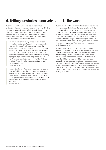### <span id="page-19-0"></span>**4. Telling our stories to ourselves and to the world**

Australians have long been interested in seeking to understand their own lives and convey the Australian lifestyle through our arts and cultural offerings, and this is a theme that has endured to the present. While the people in our focus groups strongly valued cultural heritage, they also wanted Australians to be making arts and cultural products that told contemporary Australian stories.

Like, Bluey is a very uniquely Australian production, and it is the number one Australian children's show in the world right now. And it is just so quintessentially Aussie in every way. I feel like it's important, not only for Aussie kids to have that exposure to Australia, but people all round the world to get exposure through Australian media and they learn that Australia is not just 'everything is going to kill you and we ride kangaroos to school'... there's so much media that comes out of the US these days that it's starting to influence our culture as well, and global cultures.

(FEMALE, SA, 18–29)

It's important to have Australian artists and movies and — so we feel like we can be representing on the world stage. Gives us feelings of pride and identity, of belonging. It's also promoting what Australia is all about and giving that unique flavour that other countries would not be able to experience or understand. It's promoting Australia. Our culture.

(FEMALE, QLD, 35–60)

Australia's relevant regulatory and statutory bodies reflect the importance of this theme. For example, the Australian Communications and Media Authority (ACMA) outlines a range of quotas for the commissioning and broadcast of Australian screen content, while the legislated functions and anticipated outcomes of the Australia Council for the Arts include supporting the creation and presentation of excellent art that reflects the diversity of Australia's stories, thus raising the profile of Australian arts both nationally and internationally[.44](#page-26-0)

Australia's diverse range of stories are also of great interest to the world more broadly, and thus have long been used to convey a range of Australian values and ideals internationally. This idea links to the reputation-building policy driver that has been evident in Australia since at least the 1950s. In Australia, public investment focused on innovation, excellence and prioritising the development of high quality Australian content for domestic and international audiences is often managed through arms-length funding mechanisms — for example, peer panels or entities such as statutory authorities — to draw on independent expertise in making decisions.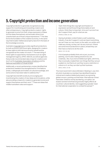### <span id="page-20-0"></span>**5. Copyright protection and income generation**

Copyright protection is generally recognised as a key support for incentivising and rewarding creators and other entrepreneurs. Copyright protects creators' rights to generate income from their unique expression of ideas (not the ideas themselves), and excludes others from unauthorised use of those unique expressions.[45](#page-26-0) This idea forms the foundation of the creative economy, in the same way that broader intellectual property laws form the basis of the knowledge economy.

Australia's [Copyright Act](https://www.legislation.gov.au/Details/C2021C00044) provides significant protections for both economic and moral rights, designed for creators to have rights to both derive economic benefit and be recognised as the creator of a work.[46](#page-27-0) The exercising of these rights is supported by mechanisms such as rights management agency APRA-AMCOS, as well as agencies that provide recommended rates of pay for creative work (such as the [Australian Association of Authors](https://www.asauthors.org/findananswer/rates-of-pay) and the [National Association of Visual Artists](http://visualarts.net.au/code-of-practice/73-schedule-fees-practitioners/)).

Additionally, a recent parliamentary review identified that protections needed to be strengthened for First Nations artists, craftspeople and holders of cultural knowledge, and some actions have been taken to address this.<sup>47</sup>

Copyright laws benefit society by encouraging and incentivising the creation of new ideas and innovations, while also providing a means for creators to generate income and support themselves and their work.<sup>48</sup> These are ideas that middle Australians value and support:

Yeah I think things like copyright and freedom of expression and all those things that enable art and culture, I think they're important. Arts won't survive if we don't support them, pay for what we use. (FEMALE, NSW, 35–60)

Having Australian content fosters a self-sustaining industry. If we don't support it, and we import everything, we can't hear our own music on the radio; our artists can't make any money, so they can't do any more art. If there are some kind of protections in place, at least they can then have a chance to do the work.

(MALE, VIC, 35–60)

A lot of people probably think arts is just, you know, painting...but it is also making solutions too, but creatively...like, if you look at intellectual rights, with firms, they've actually created their own things that they can put a patent on, but that is art, just they've put a restriction or a block on it, so they can start up their business. (MALE, NSW, 18–29)

The most recent G20 Culture Ministers' Meeting in July 2021 (of which Australia is a member) has identified threats to cultural and creative intellectual property as a growing global concern, pointing out that these 'international crimes' have been 'linked to money laundering, corruption, tax evasion and terrorist financing and also highly affects all countries' cultural identity,' and suggesting a greater need for international cooperation to combat the spread[.49](#page-27-0)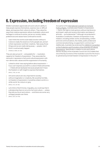### <span id="page-21-0"></span>**6. Expression, including freedom of expression**

Middle Australians appreciate arts and culture's ability to help people express themselves, express new or difficult ideas, and express their culture to others. They value the ways that creative expression allows Australian culture and heritage to continue to evolve, just as our society, tastes, preferences and values have continued to evolve.

I don't think the world could really function without it. Culture is really the essence of who people are, and art is their expression and their creativity. Take away those things and we are really taking away — people. I don't think it could actually happen.

(FEMALE, NSW, 35–60)

They are also proud of — and grateful for — Australia's capacity for freedom of expression. They associate the removal or repression of arts and cultural expression with non-democratic values and the suppression of humanity.

Linked to what I was saying before about expression if you can't express yourself in a culture it feels almost like — it feels almost dystopian because people don't have the freedom or self-insight to express themselves. (MALE, TAS, 18–29)

Arts and culture are very important to society; without imagination or creativity, life would be horrible, no freedom of expression; it would be a black world or a white world. No colours or grey. (MALE, VIC, 35–60)

Let's think of North Korea. Arguably, you could say that in a dictatorship there is not a lot of art and culture — unless they tell you its art and culture — and there are some very unhappy people over there. (MALE, QLD, 35–60)

As a party to the [International Covenant on Civil and](http://www.austlii.edu.au/au/other/dfat/treaties/1980/23.html)  [Political Rights,](http://www.austlii.edu.au/au/other/dfat/treaties/1980/23.html) Australia sees freedom of expression — that is, the right to hold opinions without interference, and impart, seek and receive information and ideas of all kinds  $-$  as fundamental.<sup>50</sup> Although not protected in Australia's Constitution, freedom of expression in any medium, including artistic works, broadcasting, written and oral communications, the media, public protest and commercial advertising, is supported in common law.[51](#page-27-0) Additionally, Australia has endorsed the [UNESCO Convention](https://en.unesco.org/creativity/convention)  [on the Protection and Promotion of the Diversity of Cultural](https://en.unesco.org/creativity/convention)  [Expressions](https://en.unesco.org/creativity/convention). Specifically in relation to arts and culture, Section 9(1)(bc) of the Australia Council Act 2013 states that one of the key functions of the Australia Council for the Arts is to uphold and promote freedom of expression in the arts.<sup>[52](#page-27-0)</sup>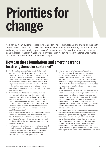## <span id="page-22-0"></span>**Priorities for change**

As a non-partisan, evidence-based think tank, ANA's role is to investigate and champion the positive effects of arts, culture and creative activity in contemporary Australian society. Our Insight Reports and Analysis Papers highlight opportunities for stakeholders of arts and culture to maximise the benefits that our research makes evident. In this section we outline 7 priorities for change related to the foundations and emerging trends in this paper.

#### **How can these foundations and emerging trends be strengthened or sustained?**

- 1. Develop and implement a National Arts, Culture and Creativity Plan<sup>53</sup> to build stronger and more strategic leadership and collaboration between the federal, state and territory and local governments. Clearer policy direction will ensure the expected public value outcomes of cultural expenditure are better communicated. This will provide a contemporary framework for Australia to design and implement mechanisms to boost cultural expenditure as a percentage of GDP to the OECD average within the next decade.
- 2. Continue to support arts and cultural organisations and individuals to financially survive the Covid–19 pandemic, and to pilot and/or scale-up digitally-rich, 'antifragile' business models suitable for a with-Covid environment for the future success of the cultural and creative industries. Live events, in particular, have been disproportionately affected, and any approach should include taking deliberate and coordinated action to rebuild those activities[.54](#page-27-0)
- 3. Position Aboriginal and Torres Strait Islander cultures and creative expression as a core, shared part of Australia in the 21st century, including recognising the value of Aboriginal and Torres Strait Islander cultural and creative practice in public policy measures designed to address equity and justice issues.
- 4. Prioritise using arts and cultural activities in existing and new initiatives across all relevant portfolios, especially in placemaking and community-building, to mitigate loneliness, social exclusion and isolation. Foster intra-government and interagency collaboration.
- 5. Build on the work of Infrastructure Australia to 1) implement a coordinated national approach to arts and cultural infrastructure; and 2) facilitate greater collaboration between Commonwealth, state and territory and local governments for cultural infrastructure programs, taking into account existing cultural infrastructure and the capacity of communities and local governments to maintain and program new cultural infrastructure.
- 6. Continue to prioritise investment in new arts and cultural practices and products (including those that use new technologies) that reflect contemporary Australian demographics, stories and perspectives. This should include ensuring arts and culture are a central pillar of Australia's public diplomacy activity, by including opportunities for collaboration and exchange in cultural practice and research between Australia and our regional neighbours.
- 7. Ensure we have a fit-for-purpose legislative, regulatory, tax incentive and investment environment, updated to address IP generation and copyright protections in the current environment. Legislative protections for expression must take emerging digital creation and distribution models into account, and balance legal protections for creative works, in terms of protecting creators' rights to recognition, compensation and expression, with the potential impacts of the exercise of those rights on vulnerable communities and individuals.<sup>[55](#page-27-0)</sup>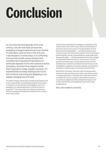# <span id="page-23-0"></span>**Conclusion**

As we enter the third decade of the 21st century, we can look back and see the sweeping changes experienced over the last 70 odd years, and not only in the arts and cultural space. In some ways, it's comforting to know that certain values endure; that Australia has long placed importance on particular aspects of arts and cultural practice and policy, and that those aspects retain their importance today. Equally, however, it's essential that we keep looking to the future, and continue improving and adapting to our rapidly changing environment.

The rate of change, particularly change accelerated by the Covid–19 pandemic, has facilitated a significant increase in interest in current policies and strategies, and in the possibility of a national approach to arts and culture in Australia[.56](#page-27-0) This is why it is more critical now than ever before to develop and implement a National Arts, Culture and Creativity Plan.

A NACC Plan would allow for strategic coordination of the needs and priorities of the many relevant stakeholders of arts and culture in this country. The participation of all of these relevant stakeholders — including consumer and investor groups, the three levels of government, businesses, philanthropists, industry representatives, peak bodies and the general public — into the development of a Plan will give it the greatest likelihood of buy-in and success. It would also be a practical way for the Australian Government to facilitate more coherent and effective investments, as well as legislative, regulatory and policy settings, and help grow Australia's creative output, consumption and diversity.

Momentum is building. We know what has always been important in the arts and culture realm, and what we need to note going forward. This paper has made clear that the conditions are ripe for change. External factors beyond our previous imaginings have provided the impetus, and middle Australia has a real appetite to see that change brought about.

Now, let's make it a priority.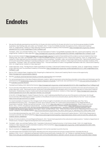## <span id="page-24-0"></span>**Endnotes**

[1](#page-3-0) We saw this attitude expressed across both the 18-29 year old cohort and the 35-60 year old cohort in our two focus group studies of middle Australians. See Fielding, Kate, and Jodie-Lee Trembath. 2020. "A View from Middle Australia: Perceptions of Arts, Culture and Creativity." 2020–01. Insight Series. Canberra: A New Approach and the Australian Academy of the Humanities. [https://newapproach.org.au/wp-content/](https://newapproach.org.au/wp-content/uploads/2021/07/3-ANA-InsightReportThree-FullReport.pdf) [uploads/2021/07/3-ANA-InsightReportThree-FullReport.pdf](https://newapproach.org.au/wp-content/uploads/2021/07/3-ANA-InsightReportThree-FullReport.pdf).

Trembath, Jodie-Lee, and Kate Fielding. 2021. "The next Generation of Voters: Young Middle Australians Talk Arts, Culture and Creativity." 2021–02. Insight Series. Canberra: A New Approach. [https://newapproach.org.au/wp-content/uploads/2021/08/ANA-InsightReportSix-Fullreport-6.pdf.](https://newapproach.org.au/wp-content/uploads/2021/08/ANA-InsightReportSix-Fullreport-6.pdf)

- [2](#page-3-0) See our previous research [\(https://newapproach.org.au/insight-reports/](https://newapproach.org.au/insight-reports/)) to explore these beliefs and the evidence we found related to them here: Fielding, Kate, and Jodie-Lee Trembath. 2020. "A View from Middle Australia: Perceptions of Arts, Culture and Creativity." 2020–01. Insight Series. Canberra: A New Approach and the Australian Academy of the Humanities.; Trembath, Jodie-Lee, and Kate Fielding. 2020. "Behind the Scenes: Drivers of Arts and Cultural Policy Settings in Australia and Beyond." 2020–02. Insight Series. Canberra: A New Approach and the Australian Academy of the Humanities.; Trembath, Jodie-Lee, and Kate Fielding. 2021. "The next Generation of Voters: Young Middle Australians Talk Arts, Culture and Creativity." 2021–02. Insight Series. Canberra: A New Approach.
- [3](#page-3-0) A New Approach. 2019. "The Big Picture: Public Expenditure on Artistic, Cultural and Creative Activity in Australia." 2019–01. Insight Series. Canberra: A New Approach and The Australian Academy of Humanities. [https://newapproach.org.au/wp-content/uploads/2021/07/1-ANA-InsightReportOne-](https://newapproach.org.au/wp-content/uploads/2021/07/1-ANA-InsightReportOne-FullReport-1.pdf)[FullReport-1.pdf.](https://newapproach.org.au/wp-content/uploads/2021/07/1-ANA-InsightReportOne-FullReport-1.pdf)
- [4](#page-4-0) See our 2021 Analysis Paper, Imagining 2030: Preparing for a National Arts, Culture and Creativity Plan for more on this opportunity. <https://newapproach.org.au/analysis-papers/>
- [5](#page-4-0) See the [Live Music and Entertainment Industry 5 Point Re-Opening Plan](https://assets.apraamcos.com.au/images/PDFs/Music-Live-Events-Industry-5-Point-ReOpening-Plan.pdf) as an example.
- [6](#page-4-0) For various perspectives on the idea of balance between creators' rights to expression and protecting vulnerable communities and individuals, see the submissions to the [Parliamentary Inquiry into Freedom of Speech in Australia](https://www.aph.gov.au/Parliamentary_Business/Committees/Joint/Human_Rights_inquiries/FreedomspeechAustralia/Submissions). In particular, see submissions from the [Arts Law Centre of Australia](https://www.artslaw.com.au/images/uploads/Arts_Law_Centre_of_Australia_Submission_Freedom_of_speech_in_Australia.pdf), and the [Australia Council for the Arts.](https://australiacouncil.gov.au/about-us/publications-and-submissions/)
- [7](#page-5-0) Trembath and Fielding, 2020. Behind the Scenes.<https://newapproach.org.au/wp-content/uploads/2021/07/4-ANA-InsightReportFour-FullReport.pdf>.
- [8](#page-7-0) For an overview of the effects of the mid-2020 national lockdowns on employment and income loss for Australia's arts and cultural businesses, see: A New Approach. 2020. "Securing Economic, Social and Cultural Benefits for All Australians with a 21st Century Approach to Culture and Creativity." Submission. Parliamentary Inquiry, Creative and Cultural Industries and Institutions. Canberra: A New Approach. [https://newapproach.org.au/wp](https://newapproach.org.au/wp-content/uploads/2021/01/A-New-Approach-ParlSub-CCII-2020.pdf)[content/uploads/2021/01/A-New-Approach-ParlSub-CCII-2020.pdf.](https://newapproach.org.au/wp-content/uploads/2021/01/A-New-Approach-ParlSub-CCII-2020.pdf)

In his 2021-22 Budget Speech, Federal Treasurer the Hon. Josh Frydenberg identified the arts as one of the sectors continuing to 'do it tough'. For an overview of the federal government's position on the effects of Covid-19 on arts and culture, see the Office for the Arts' 'Covid-19 Update': [https://www.arts.gov.au/covid-19-update.](https://www.arts.gov.au/covid-19-update)

For recent examples of research on the changes Covid-19 has wrought on Australia's arts and cultural landscape, see: Flew, Terry, and Katherine Kirkwood. 2021. "The Impact of COVID-19 on Cultural Tourism: Art, Culture and Communication in Four Regional Sites of Queensland, Australia." Media International Australia 178 (1): 16–20. [https://doi.org/10.1177/1329878X20952529.](https://doi.org/10.1177/1329878X20952529); Patternmakers and Wolf Brown. 2021. "COVID-19 Audience Outlook Monitor - Australia (Dashboard Tool)." Intrinsic Impact. [https://dashboard.intrinsicimpact.org/](https://dashboard.intrinsicimpact.org/groupings/625/reports/3581?utf8=%E2%9C%93&s%5B9284%5D=1&s%5B9983%5D=1&s%5B10701%5D=1&s%5B12450%5D=1&f1=2732&f2=2867&commit=Apply+Options) [groupings/625/ reports/3581?utf8=%E2%9C%93&s%5B9284%5D=1&s%5B9983%5D= 1&s%5B10701%5D=1&s%5B12450%5D=1&f1=](https://dashboard.intrinsicimpact.org/groupings/625/reports/3581?utf8=%E2%9C%93&s%5B9284%5D=1&s%5B9983%5D=1&s%5B10701%5D=1&s%5B12450%5D=1&f1=2732&f2=2867&commit=Apply+Options)  [2732&f2=2867&commit=Apply+Options;](https://dashboard.intrinsicimpact.org/groupings/625/reports/3581?utf8=%E2%9C%93&s%5B9284%5D=1&s%5B9983%5D=1&s%5B10701%5D=1&s%5B12450%5D=1&f1=2732&f2=2867&commit=Apply+Options) Pennington, Alison, and Ben Eltham. 2021. "When the Show Cannot Go On: Rebooting Arts & Culture After COVID." Canberra: The Australia Institute. [https://www.futurework.org.au/when\\_the\\_show\\_cannot\\_go\\_on\\_rebooting\\_arts\\_culture\\_after\\_covid.](https://www.futurework.org.au/when_the_show_cannot_go_on_rebooting_arts_culture_after_covid)

For an international perspective, see: OECD. 2020. "Culture Shock: COVID-19 and the Cultural and Creative Sectors." OECD Policy Responses to Coronavirus (COVID-19). OECD Publishing. https://www.oecd.org/coronavirus/policy-responses/culture-shock-covid-19-and-the-cultural-andcreative-sectors-08da9e0e/.

- [9](#page-7-0) Bureau of Communications, Arts and Regional Research. 2021 "Government payments to the cultural and creative sectors." Canberra: Department of Infrastructure, Transport, Regional Development and Communications.
- [10](#page-7-0) Trembath, Jodie-Lee, and Kate Fielding. 2020. "Australia's Cultural and Creative Economy: A 21st Century Guide." 2020–03. Insight Series. Canberra: A New Approach and the Australian Academy of the Humanities. [https://newapproach.org.au/wp-content/uploads/2021/08/5-ANA-](https://newapproach.org.au/wp-content/uploads/2021/08/5-ANA-InsightReportFive-FullReport.pdf)[InsightReportFive-FullReport.pdf](https://newapproach.org.au/wp-content/uploads/2021/08/5-ANA-InsightReportFive-FullReport.pdf).
- [11](#page-7-0) See, for example, the [Digital Culture Strategy](https://australiacouncil.gov.au/investment-and-development/digital-culture-strategy/) released in 2021 by the Australia Council for the Arts.
- [12](#page-7-0) The enthusiasm that Australians have had for attending arts and cultural events and venues is measured here: Australian Bureau of Statistics. 2019. "4114.0 - Attendance at Selected Cultural Venues and Events, Australia, 2017-18." Canberra: Australian Bureau of Statistics. [https://www.abs.gov.au/statistics/people/people-and-communities/attendance-selected-cultural-venues-and-events-australia/ latest-release](https://www.abs.gov.au/statistics/people/people-and-communities/attendance-selected-cultural-venues-and-events-australia/latest-release).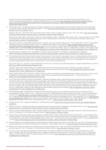<span id="page-25-0"></span>Predictions about the future attendance at arts and cultural venues and events come from here: Patternmakers and Wolf Brown. 2021. "COVID-19 Audience Outlook Monitor - Australia (Dashboard Tool)." Intrinsic Impact. [https://dashboard.intrinsicimpact.org/groupings/625/](https://dashboard.intrinsicimpact.org/groupings/625/reports/3581?utf8=%E2%9C%93&s%5B9284%5D=1&s%5B9983%5D=1&s%5B10701%5D=1&s%5B12450%5D=1&f1=2732&f2=2867&commit=Apply+Options) [reports/ 3581?utf8=%E2%9C%93&s%5B9284%5D=1&s%5B9983%5D=1&s%5B10701%5D=1&s%5B12450%5D=1&f1=2732&f2=](https://dashboard.intrinsicimpact.org/groupings/625/reports/3581?utf8=%E2%9C%93&s%5B9284%5D=1&s%5B9983%5D=1&s%5B10701%5D=1&s%5B12450%5D=1&f1=2732&f2=2867&commit=Apply+Options)  [2867&commit=Apply+Options](https://dashboard.intrinsicimpact.org/groupings/625/reports/3581?utf8=%E2%9C%93&s%5B9284%5D=1&s%5B9983%5D=1&s%5B10701%5D=1&s%5B12450%5D=1&f1=2732&f2=2867&commit=Apply+Options).

[13](#page-7-0) Akhtar, Allana. 2021. "Chicago Said There's No Evidence Lollapalooza Was a Superspreader Event and That More than 90% of Attendees Were Vaccinated." Business Insider Australia (blog). August 12, 2021. [https://www.businessinsider.com.au/chicago-lollapalooza-not-a-covid-super](https://www.businessinsider.com.au/chicago-lollapalooza-not-a-covid-super-spreader-event-90-vaccinated-2021-8)[spreader-event-90-vaccinated-2021-8.](https://www.businessinsider.com.au/chicago-lollapalooza-not-a-covid-super-spreader-event-90-vaccinated-2021-8)

Brayden, Kate. 2021. "Indoor Paris Test Concert Shows No Increase in Covid-19 Cases." Hotpress, July 12, 2021, sec. Music. [https://www.hotpress.](https://www.hotpress.com/music/indoor-paris-test-concert-shows-no-increase-in-covid-19-cases-22860994) [com/music/indoor-paris-test-concert-shows-no-increase-in-covid-19-cases-22860994.](https://www.hotpress.com/music/indoor-paris-test-concert-shows-no-increase-in-covid-19-cases-22860994)

Revollo, Boris, Ignacio Blanco, Pablo Soler, Jessica Toro, Nuria Izquierdo-Useros, Jordi Puig, Xavier Puig, et al. 2021. "Same-Day SARS-CoV-2 Antigen Test Screening in an Indoor Mass-Gathering Live Music Event: A Randomised Controlled Trial." The Lancet Infectious Diseases Online first (0). [https://doi.org/10.1016/S1473-3099\(21\)00268-1](https://doi.org/10.1016/S1473-3099(21)00268-1).

- [14](#page-8-0) See our 2021 report on young middle Australians here: Trembath, Jodie-Lee, and Kate Fielding. 2021. "The next Generation of Voters: Young Middle Australians Talk Arts, Culture and Creativity." 2021–02. Insight Series. Canberra: A New Approach [https://newapproach.org.au/wp-content/](https://newapproach.org.au/wp-content/uploads/2021/08/ANA-InsightReportSix-Fullreport-6.pdf) [uploads/2021/08/ANA-InsightReportSix-Fullreport-6.pdf](https://newapproach.org.au/wp-content/uploads/2021/08/ANA-InsightReportSix-Fullreport-6.pdf). and our 2020 report on middle-aged middle Australians: Fielding, Kate, and Jodie-Lee Trembath. 2020. "A View from Middle Australia: Perceptions of Arts, Culture and Creativity." 2020-01. Insight Series. Canberra: A New Approach and the Australian Academy of the Humanities. [https://newapproach.org.au/wp-conte.nt/uploads/2021/07/3-ANA-InsightReportThree-FullReport.pdf.](https://newapproach.org.au/wp-content/uploads/2021/07/3-ANA-InsightReportThree-FullReport.pdf)
- [15](#page-8-0) Australian Bureau of Statistics. 2019. "Participation in Selected Cultural Activities 2017-18 Dataset." Australian Bureau of Statistics. [https://www.abs.gov.au/statistics/people/people-and-communities/participation-selected-cultural-activities/2017-18#data-download.](https://www.abs.gov.au/statistics/people/people-and-communities/participation-selected-cultural-activities/2017-18#data-download)
- [16](#page-8-0) Pier Luigi Sacco describes this blurring of consumers and producers in his critical 2011 piece about Culture 3.0. He describes this phenomenon as having the following characteristics: 1) Communities of practice and not only markets, 2) generates turnover but also has indirect non-market value, 3) prosumers and user-generated content, 4) a pervasive dimension that permeates the whole economy (i.e. culturalisation of the economy and culturally mediated value); 5) at the root of the value chain. For more on this, see the following:

Sacco, Pier Luigi. 2011. "Culture 3.0: A New Perspective for the EU 2014-2020 Structural Funds Programming." European Expert Network on Culture. <http://www.interarts.net/descargas/interarts2577.pdf>.

Trembath, Jodie-Lee, and Kate Fielding. 2020. "Behind the Scenes: Drivers of Arts and Cultural Policy Settings in Australia and Beyond." 2020–02. Insight Series. Canberra: A New Approach and the Australian Academy of the Humanities. [https://newapproach.org.au/wp-content/](https://newapproach.org.au/wp-content/uploads/2021/07/4-ANA-InsightReportFour-FullReport.pdf) [uploads/2021/07/4-ANA-InsightReportFour-FullReport.pdf.](https://newapproach.org.au/wp-content/uploads/2021/07/4-ANA-InsightReportFour-FullReport.pdf)

- [17](#page-8-0) Barack Obama referenced the 'both/and' vs 'either/or' idea throughout his presidency, attributing the phrase to Martin Luther King Jnr in discussing strategies for social freedom and justice. See Martin Luther King Jnr's full speech and the ensuing Q&A here — 'both/and' quote on p. 23: <https://wmich.edu/sites/default/files/attachments/MLK.pdf>.
- [18](#page-9-0) As our 2020 report 'Behind the Scenes' demonstrated, mainstream Australian cultural content heavily referenced British themes and aesthetics well into the 20th century, although the reference point began to shift after the First World War towards the USA. This trend has only increased over time. However, in the 1980s and 90s, as Australian public policy moved more towards multiculturalism, the reference point for what Australian content is and should be has shifted to include a stronger connection to the stories and aesthetics of our Asian and Pacific neighbours. For more on this, see: Trembath, Jodie-Lee, and Kate Fielding. 2020. "Behind the Scenes: Drivers of Arts and Cultural Policy Settings in Australia and Beyond." 2020–02. Insight Series. Canberra: A New Approach and the Australian Academy of the Humanities. [https://newapproach.org.au/wp-content/](https://newapproach.org.au/wp-content/uploads/2021/07/4-ANA-InsightReportFour-FullReport.pdf) [uploads/2021/07/4-ANA-InsightReportFour-FullReport.pdf.](https://newapproach.org.au/wp-content/uploads/2021/07/4-ANA-InsightReportFour-FullReport.pdf)
- [19](#page-9-0) It is interesting (though not systematic) to consider the evolution of this narrative over time using the following 3 journal articles about race in Hollywood films: Weaver, Andrew J. 2011. "The Role of Actors' Race in White Audiences' Selective Exposure to Movies." Journal of Communication 61 (2): 369–85. [https://doi.org/10.1111/j.1460-2466.2011.01544.x.](https://doi.org/10.1111/j.1460-2466.2011.01544.x); Aumer, Katherine, Devin Blas, Kelsea Huston, Christine Mabuti, and Ning Hsu. 2017. "Assessing Racial Preferences in Movies: The Impact of Mere-Exposure and Social Identity Theory." Psychology 8 (9): 1314–25. [https://doi.org/](https://doi.org/DOI:10.4236/psych.2017.89085) [DOI:10.4236/psych.2017.89085.](https://doi.org/DOI:10.4236/psych.2017.89085); King, Jesse, Sohuyn Lee Ribeiro, Clark Callahan, and Tom Robinson. 2021. "Representing Race: The Race Spectrum Subjectivity of Diversity in Film." Ethnic and Racial Studies 44 (2): 334–51. [https://doi.org/10.1080/01419870.2020.1740290.](https://doi.org/10.1080/01419870.2020.1740290)
- [20](#page-9-0) Office for the Arts. 2019. "Indigenous Repatriation." Australian Government. [https://www.arts.gov.au/what-we-do/cultural-heritage/indigenous](https://www.arts.gov.au/what-we-do/cultural-heritage/indigenous-repatriation)[repatriation](https://www.arts.gov.au/what-we-do/cultural-heritage/indigenous-repatriation).
- [21](#page-9-0) Jackson, Will. 2021. "How Many Antiquities in Australian Museums Are Stolen from Our Neighbours?" ABC News, March 27, 2021. [https://www.abc.](https://www.abc.net.au/news/2021-03-28/antiquities-looted-australian-museums-douglas-latchford/100030880) [net.au/news/2021-03-28/antiquities-looted-australian-museums-douglas-latchford/100030880.](https://www.abc.net.au/news/2021-03-28/antiquities-looted-australian-museums-douglas-latchford/100030880)
- [22](#page-10-0) White, Courtney, and Rita Matulionyte. 2019. "Artificial Intelligence Painting The Bigger Picture For Copyright Ownership." SSRN Scholarly Paper ID 3498673. Rochester, NY: Social Science Research Network.<https://doi.org/10.2139/ssrn.3498673>.
- [23](#page-10-0) While blockchain technology creates new possibilities for digital creations, it also requires massive amounts of electricity one researcher found that the average NFT has a carbon footprint equivalent to more than a month's worth of electricity for an average resident of the EU — leading some commentators to question this trend's sustainability. Calma, Justine. 2021. "The Climate Controversy Swirling around NFTs." The Verge (blog). March 15, 2021. [https://www.theverge.com/2021/3/15/22328203/nft-cryptoart-ethereum-blockchain-climate-change.](https://www.theverge.com/2021/3/15/22328203/nft-cryptoart-ethereum-blockchain-climate-change)
- [24](#page-10-0) Garbutt, Michael, Scott East, Branka Spehar, Vicente Estrada-Gonzalez, Brooke Carson-Ewart, and Josephine Touma. 2020. "The Embodied Gaze: Exploring Applications for Mobile Eye Tracking in the Art Museum." Visitor Studies 23 (1): 82–100. [https://doi.org/10.1080/10645578.2020.1750271.](https://doi.org/10.1080/10645578.2020.1750271)
- [25](#page-10-0) Edmans, Alex, Adrian Fernandez-Perez, Alexandre Garel, and Ivan Indriawan. 2021. "Music Sentiment and Stock Returns Around the World." SSRN Scholarly Paper ID 3776071. Rochester, NY: Social Science Research Network. [https://doi.org/10.2139/ssrn.3776071.](https://doi.org/10.2139/ssrn.3776071)
- [26](#page-11-0) For more on the role of regional development and the attraction and retention of residents in cities and regions, see Case Study 3 of our 2020 report: Trembath, Jodie-Lee, and Kate Fielding. 2020. "Australia's Cultural and Creative Economy: A 21st Century Guide." 2020–03. Insight Series. Canberra: A New Approach and the Australian Academy of the Humanities. [https://newapproach.org.au/wp-content/uploads/2021/08/5-ANA-](https://newapproach.org.au/wp-content/uploads/2021/08/5-ANA-InsightReportFive-FullReport.pdf)[InsightReportFive-FullReport.pdf](https://newapproach.org.au/wp-content/uploads/2021/08/5-ANA-InsightReportFive-FullReport.pdf).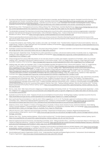- <span id="page-26-0"></span>[27](#page-11-0) For more on the value and increasing emergence of cultural tourism in Australia, see the following two reports: Australia Council for the Arts. 2018. "International Arts Tourism: Connecting Cultures." Sydney: Australian Government. [https://australiacouncil.gov.au/advocacy-and-research/](https://australiacouncil.gov.au/advocacy-and-research/international-arts-tourism-connecting-cultures/) [international-arts-tourism-connecting-cultures/.](https://australiacouncil.gov.au/advocacy-and-research/international-arts-tourism-connecting-cultures/); Australia Council for the Arts. 2020. "Domestic Arts Tourism: Connecting the Country." Sydney: Australia Council for the Arts. <https://australiacouncil.gov.au/advocacy-and-research/domestic-arts-tourism-connecting-the-country/>.
- [28](#page-11-0) Big Red Group. 2019. "The Experience Economy: Riding a Rising Tide." White Paper. Australia: Big Red Group. [https://www.thebigredgroup.com.au/](https://www.thebigredgroup.com.au/wp-content/uploads/2019/05/The-Experience-Economy-Riding-a-rising-tide-white-paper-by-the-Big-Red-Group.pdf) [wp-content/uploads/2019/05/The-Experience-Economy-Riding-a-rising-tide-white-paper-by-the-Big-Red-Group.pdf](https://www.thebigredgroup.com.au/wp-content/uploads/2019/05/The-Experience-Economy-Riding-a-rising-tide-white-paper-by-the-Big-Red-Group.pdf).
- [29](#page-11-0) The declaration proposed 'the importance of enshrining climate action more firmly within cultural policies' and encouraged greater cooperation between international and intergovernmental bodies. Culture Ministers' Meeting. 2021. "Culture Unites the World: Rome Declaration of the G20 Ministers of Culture." Rome: G20. <https://www.g20.org/wp-content/uploads/2021/07/Final-Declaration.pdf>.
- [30](#page-12-0) There is a growing discourse around the idea of creators as 'primary producers' (therefore likening them to farmers as the first movers in the agricultural supply chain), which gained traction in 2014 following its use by several presenters at the UNESCO World Forum on Culture and Cultural Industries in Florence that year.
- [31](#page-13-0) To review this evidence, see: Fielding, Kate, Iva Glisic, and Jodie-Lee Trembath. 2019. "Transformative: Impacts of Culture and Creativity." 2019–02. Insight Series. Canberra: A New Approach and The Australian Academy of Humanities. [https://newapproach.org.au/wp-content/uploads/2021/07/2-](https://newapproach.org.au/wp-content/uploads/2021/07/2-ANA-InsightReportTwo-FullReport.pdf) [ANA-InsightReportTwo-FullReport.pdf.](https://newapproach.org.au/wp-content/uploads/2021/07/2-ANA-InsightReportTwo-FullReport.pdf)
- [32](#page-13-0) Australian Local Government Association. 2020. "Arts and Culture Policy Position." Canberra: Australian Local Government Association. [https://alga.](https://alga.asn.au/lgs-pivotal-role-in-arts-and-culture-set-out-in-alga-policy-position/) [asn.au/lgs-pivotal-role-in-arts-and-culture-set-out-in-alga-policy-position/.](https://alga.asn.au/lgs-pivotal-role-in-arts-and-culture-set-out-in-alga-policy-position/)
- [33](#page-14-0) A New Approach. September 2019. *The Big Picture: public expenditure on artistic, cultural and creative activity in Australia*. 2019–01. Insight Series. Canberra: A New Approach and The Australian Academy of Humanities. [https://newapproach.org.au/wp-content/uploads/2021/07/1-ANA-](https://newapproach.org.au/wp-content/uploads/2021/07/1-ANA-InsightReportOne-FullReport-1.pdf)[InsightReportOne-FullReport-1.pdf](https://newapproach.org.au/wp-content/uploads/2021/07/1-ANA-InsightReportOne-FullReport-1.pdf).
- [34](#page-15-0) These are figures from various ABS instruments. For an overview of each in context, see Chapter 2 Question 6 of Trembath, Jodie-Lee, and Kate Fielding. 2020. "Australia's Cultural and Creative Economy: A 21st Century Guide." 2020–03. Insight Series. Canberra: A New Approach and the Australian Academy of the Humanities.<https://newapproach.org.au/wp-content/uploads/2021/08/5-ANA-InsightReportFive-FullReport.pdf>.
- [35](#page-15-0) Fielding, Kate, and Jodie-Lee Trembath. 2020. "A View from Middle Australia: Perceptions of Arts, Culture and Creativity." 2020–01. Insight Series. Canberra: A New Approach and the Australian Academy of the Humanities. [https://newapproach.org.au/wp-content/uploads/2021/07/3-](https://newapproach.org.au/wp-content/uploads/2021/07/3-ANA-InsightReportThree-FullReport.pdf) [ANA-InsightReportThree-FullReport.pdf;](https://newapproach.org.au/wp-content/uploads/2021/07/3-ANA-InsightReportThree-FullReport.pdf) Trembath, Jodie-Lee, and Kate Fielding. 2020. "Behind the Scenes: Drivers of Arts and Cultural Policy Settings in Australia and Beyond." 2020–02. Insight Series. Canberra: A New Approach and the Australian Academy of the Humanities. [https://newapproach.org.au/wp-content/uploads/2021/07/4-ANA-InsightReportFour-FullReport.pdf;](https://newapproach.org.au/wp-content/uploads/2021/07/4-ANA-InsightReportFour-FullReport.pdf) Trembath, Jodie-Lee, and Kate Fielding. 2021. "The Next Generation of Voters: Young Middle Australians Talk Arts, Culture and Creativity." 2021–02. Insight Series. Canberra: A New Approach. Find them here:<https://newapproach.org.au/wp-content/uploads/2021/08/ANA-InsightReportSix-Fullreport-6.pdf>.
- [36](#page-16-0) For examples of policy documents reflecting the importance of Aboriginal and Torres Strait Islander creative practices, see: Liberal Party of Australia, and National Party of Australia, eds. 1994. 'The Cultural Frontier: Coalition Priorities for the Arts.' Canberra: The Coalition; The Department of Communications and the Arts. 1994. 'Creative Nation: Commonwealth Cultural Policy, October 1994.' Canberra: Australian Government. [https://apo.](https://apo.org.au/node/29704) [org.au/node/29704;](https://apo.org.au/node/29704) Australian Government. 2013. "Creative Australia: National Cultural Policy 2013." Canberra: Commonwealth of Australia; and the current federal Minister for the Arts' recent portfolio speech: Fletcher, Paul. 2021. "Sydney Institute Address: 'Why Do We Fund the Arts?'" Portfolio Speech presented at the Sydney Institute, Sydney, April 8. [https://www.paulfletcher.com.au/portfolio-speeches/sydney-institute-address-why-do](https://www.paulfletcher.com.au/portfolio-speeches/sydney-institute-address-why-do-we-fund-the-arts)[we-fund-the-arts](https://www.paulfletcher.com.au/portfolio-speeches/sydney-institute-address-why-do-we-fund-the-arts).
- [37](#page-16-0) Morris, Linda. 2020. "After Years of Growth, Indigenous Art Sales Have Been Hit Hard by COVID-19." The Sydney Morning Herald, September 1, 2020, sec. Indigenous Art. [https://www.smh.com.au/culture/art-and-design/after-years-of-growth-indigenous-art-sales-have-been-hit-hard-by-covid-](https://www.smh.com.au/culture/art-and-design/after-years-of-growth-indigenous-art-sales-have-been-hit-hard-by-covid-19-20200820-p55nma.html)[19-20200820-p55nma.html.](https://www.smh.com.au/culture/art-and-design/after-years-of-growth-indigenous-art-sales-have-been-hit-hard-by-covid-19-20200820-p55nma.html)
- [38](#page-16-0) Australia Council for the Arts. 2020. "Impacts of Covid-19 on First Nations Arts and Culture." Briefing Paper. Sydney: Australia Council for the Arts. <https://australiacouncil.gov.au/wp-content/uploads/2021/07/briefing-paper-impacts-of-c-5eaa570cef589.pdf>.
- [39](#page-17-0) See in particular Recommendations 17 and 18, and in 'Other suggestions', 6.173-6.176: The Senate Legal and Constitutional Affairs and References Committee. 2021. "Nationhood, National Identity and Democracy." Canberra: Commonwealth of Australia. [https://parlinfo.aph.gov.au/parlInfo/](https://parlinfo.aph.gov.au/parlInfo/download/committees/reportsen/024372/toc_pdf/Nationhood,nationalidentityanddemocracy.pdf;fileType=application%2Fpdf) [download/committees/reportsen/024372/toc\\_pdf/Nationhood,nationalidentityanddemocracy.pdf;fileType=application%2Fpdf](https://parlinfo.aph.gov.au/parlInfo/download/committees/reportsen/024372/toc_pdf/Nationhood,nationalidentityanddemocracy.pdf;fileType=application%2Fpdf).
- [40](#page-18-0) Waterton, Emma. 2018. Chapter 6. 'A history of heritage policy in Australia.' In Rowe, David, Graeme Turner, and Emma Waterton. 2018. Making Culture: Commercialisation, Transnationalism, and the State of "Nationing" in Contemporary Australia. Milton, UK: Routledge. [https://www.academia.](https://www.academia.edu/38548788/A_History_of_Heritage_Policy_in_Australia_From_Hope_to_Philanthropy) [edu/38548788/A\\_History\\_of\\_Heritage\\_Policy\\_in\\_Australia\\_From\\_Hope\\_to\\_Philanthropy.](https://www.academia.edu/38548788/A_History_of_Heritage_Policy_in_Australia_From_Hope_to_Philanthropy)
- [41](#page-18-0) Office for the Arts. 2020. "National Cultural Heritage Committee." Department of Infrastructure, Transport, Regional Development and Communications: What We Do. July 20, 2020. [https://www.arts.gov.au/what-we-do/cultural-heritage/movable-cultural-heritage/national-cultural](https://www.arts.gov.au/what-we-do/cultural-heritage/movable-cultural-heritage/national-cultural-heritage-committee)[heritage-committee](https://www.arts.gov.au/what-we-do/cultural-heritage/movable-cultural-heritage/national-cultural-heritage-committee).
- [42](#page-18-0) Fletcher, Paul. 2021. "Sydney Institute Address: 'Why Do We Fund the Arts?'" Portfolio Speech presented at the Sydney Institute, Sydney, April 8. [https://www.paulfletcher.com.au/portfolio-speeches/sydney-institute-address-why-do-we-fund-the-arts.](https://www.paulfletcher.com.au/portfolio-speeches/sydney-institute-address-why-do-we-fund-the-arts)
- [43](#page-18-0) National Capital and External Territories Joint Standing Committee. 2019. "Telling Australia's Story—and Why It's Important: Report on the Inquiry into Canberra's National Institutions." Canberra: Parliament of Australia. [https://parlinfo.aph.gov.au/parlInfo/search/display/display.w3p;query=Id%3A%22](https://parlinfo.aph.gov.au/parlInfo/search/display/display.w3p;query=Id%3A%22publications%2Ftabledpapers%2F918681d7-90b6-4aaa-9c15-6b78724cde0c%22;src1=sm1) [publications%2Ftabledpapers%2F918681d7-90b6-4aaa-9c15-6b78724cde0c%22;src1=sm1](https://parlinfo.aph.gov.au/parlInfo/search/display/display.w3p;query=Id%3A%22publications%2Ftabledpapers%2F918681d7-90b6-4aaa-9c15-6b78724cde0c%22;src1=sm1).
- [44](#page-19-0) ACMA. 2020. "Australian Content in TV Programs." Australian Communications and Media Authority (ACMA) Website. 2020. [https://www.acma.gov.](https://www.acma.gov.au/australian-content-commercial-tv) [au/australian-content-commercial-tv.](https://www.acma.gov.au/australian-content-commercial-tv) Australia Council for the Arts. 2021. "Creativity Connects Us: Corporate Plan 2020-2024." Australia: Australia Council for the Arts. [https://australiacouncil.gov.au/about-us/corporate-plan-2020-2024/.](https://australiacouncil.gov.au/about-us/corporate-plan-2020-2024/)
- [45](#page-20-0) World Intellectual Property Organization (WIPO). 2016. "Understanding Copyright and Related Rights (2nd Ed.)." Switzerland: World Intellectual Property Organization. [http://www.wipo.int/edocs/pubdocs/en/wipo\\_pub\\_909\\_2016.pdf.](http://www.wipo.int/edocs/pubdocs/en/wipo_pub_909_2016.pdf)